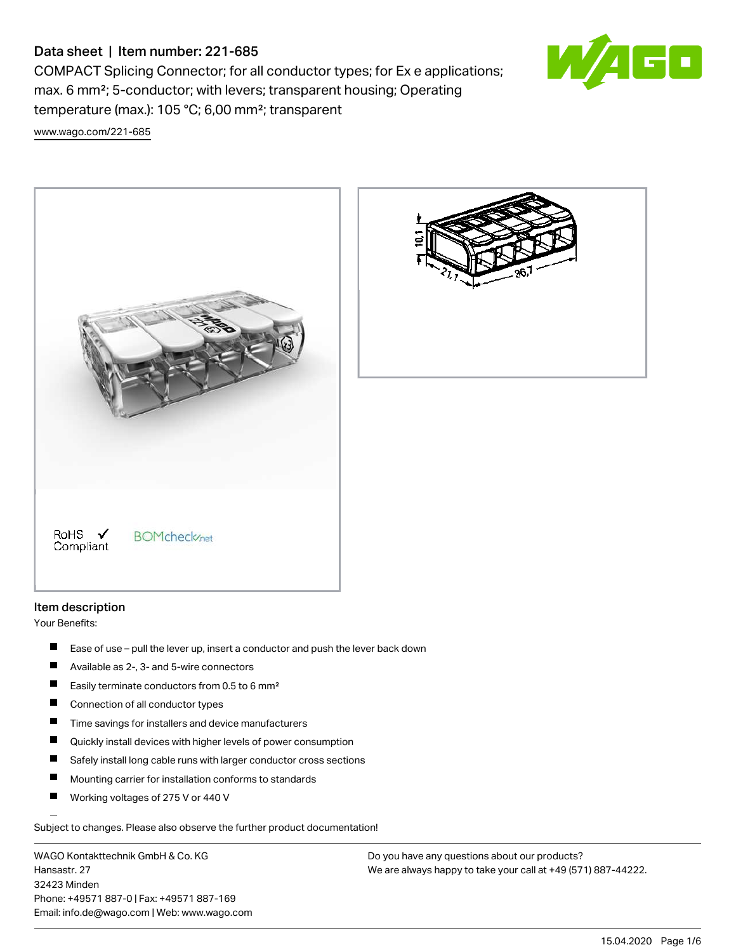# Data sheet | Item number: 221-685

COMPACT Splicing Connector; for all conductor types; for Ex e applications; max. 6 mm²; 5-conductor; with levers; transparent housing; Operating temperature (max.): 105 °C; 6,00 mm²; transparent [www.wago.com/221-685](http://www.wago.com/221-685)







Your Benefits:

- $\blacksquare$ Ease of use – pull the lever up, insert a conductor and push the lever back down
- $\blacksquare$ Available as 2-, 3- and 5-wire connectors
- П Easily terminate conductors from 0.5 to 6 mm²
- $\blacksquare$ Connection of all conductor types
- $\blacksquare$ Time savings for installers and device manufacturers
- $\blacksquare$ Quickly install devices with higher levels of power consumption
- П Safely install long cable runs with larger conductor cross sections
- П Mounting carrier for installation conforms to standards
- П Working voltages of 275 V or 440 V

Subject to changes. Please also observe the further product documentation!

WAGO Kontakttechnik GmbH & Co. KG Hansastr. 27 32423 Minden Phone: +49571 887-0 | Fax: +49571 887-169 Email: info.de@wago.com | Web: www.wago.com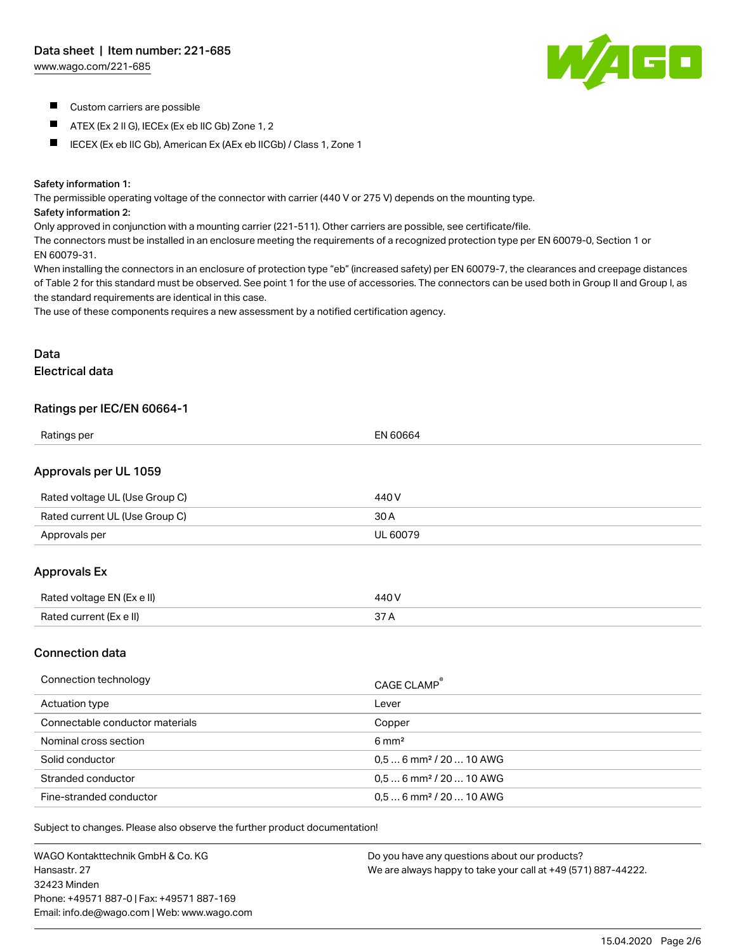[www.wago.com/221-685](http://www.wago.com/221-685)



- **Custom carriers are possible**
- $\blacksquare$ ATEX (Ex 2 II G), IECEx (Ex eb IIC Gb) Zone 1, 2
- IECEX (Ex eb IIC Gb), American Ex (AEx eb IICGb) / Class 1, Zone 1

#### Safety information 1:

The permissible operating voltage of the connector with carrier (440 V or 275 V) depends on the mounting type.

#### Safety information 2:

Only approved in conjunction with a mounting carrier (221-511). Other carriers are possible, see certificate/file.

The connectors must be installed in an enclosure meeting the requirements of a recognized protection type per EN 60079-0, Section 1 or EN 60079-31.

When installing the connectors in an enclosure of protection type "eb" (increased safety) per EN 60079-7, the clearances and creepage distances of Table 2 for this standard must be observed. See point 1 for the use of accessories. The connectors can be used both in Group II and Group I, as the standard requirements are identical in this case.

The use of these components requires a new assessment by a notified certification agency.

# Data Electrical data

## Ratings per IEC/EN 60664-1

| Ratings per                    | EN 60664 |
|--------------------------------|----------|
| Approvals per UL 1059          |          |
| Rated voltage UL (Use Group C) | 440 V    |
| Rated current UL (Use Group C) | 30 A     |
| Approvals per                  | UL 60079 |
| <b>Approvals Ex</b>            |          |
| Rated voltage EN (Ex e II)     | 440 V    |
| Rated current (Ex e II)        | 37 A     |

### Connection data

| Connection technology           | CAGE CLAMP <sup>®</sup>             |
|---------------------------------|-------------------------------------|
| Actuation type                  | Lever                               |
| Connectable conductor materials | Copper                              |
| Nominal cross section           | $6 \text{ mm}^2$                    |
| Solid conductor                 | $0.56$ mm <sup>2</sup> / 20  10 AWG |
| Stranded conductor              | $0.56$ mm <sup>2</sup> / 20  10 AWG |
| Fine-stranded conductor         | $0.56$ mm <sup>2</sup> / 20  10 AWG |

Subject to changes. Please also observe the further product documentation!

WAGO Kontakttechnik GmbH & Co. KG Hansastr. 27 32423 Minden Phone: +49571 887-0 | Fax: +49571 887-169 Email: info.de@wago.com | Web: www.wago.com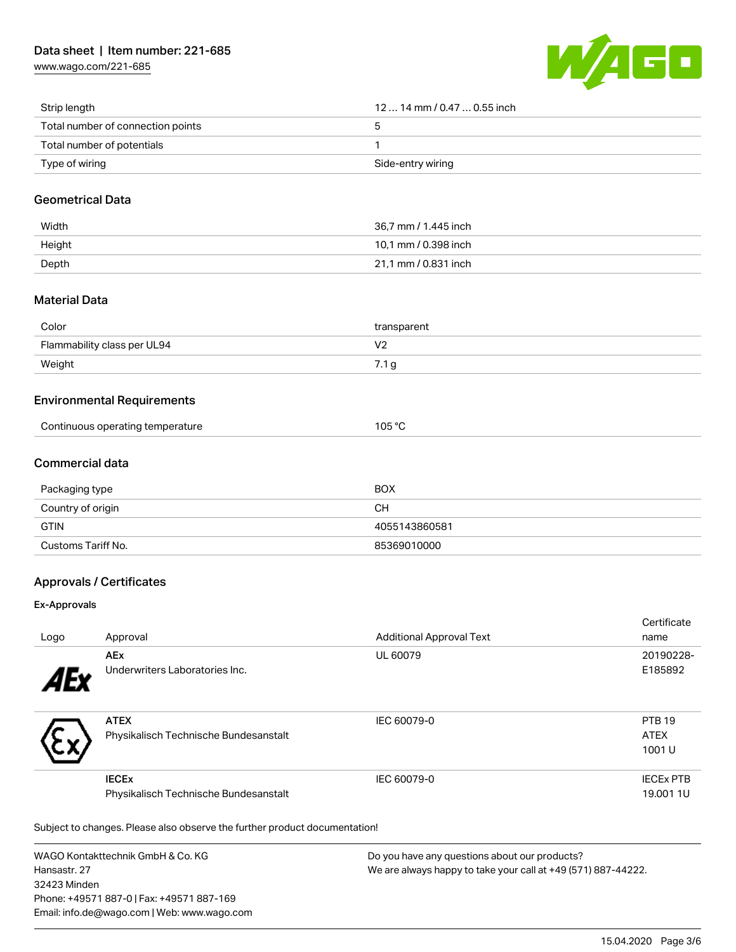[www.wago.com/221-685](http://www.wago.com/221-685)



| Strip length                      | $1214$ mm $/$ 0.47 $$ 0.55 inch |
|-----------------------------------|---------------------------------|
| Total number of connection points |                                 |
| Total number of potentials        |                                 |
| Type of wiring                    | Side-entry wiring               |

## Geometrical Data

| Width  | 36,7 mm / 1.445 inch |
|--------|----------------------|
| Height | 10.1 mm / 0.398 inch |
| Depth  | 21,1 mm / 0.831 inch |

# Material Data

| Color                       | transparent    |
|-----------------------------|----------------|
| Flammability class per UL94 | $\cdot$<br>. . |
| Weight                      | 7.1 g          |

## Environmental Requirements

|  | Continuous operating temperature | 105 °C |
|--|----------------------------------|--------|
|--|----------------------------------|--------|

# Commercial data

| Packaging type     | <b>BOX</b>    |
|--------------------|---------------|
| Country of origin  | CН            |
| <b>GTIN</b>        | 4055143860581 |
| Customs Tariff No. | 85369010000   |

# Approvals / Certificates

#### Ex-Approvals

| Logo | Approval                                                         | <b>Additional Approval Text</b> | Certificate<br>name                   |
|------|------------------------------------------------------------------|---------------------------------|---------------------------------------|
| 1Ex  | <b>AEx</b><br>Underwriters Laboratories Inc.                     | UL 60079                        | 20190228-<br>E185892                  |
|      | <b>ATEX</b><br>Physikalisch Technische Bundesanstalt             | IEC 60079-0                     | <b>PTB 19</b><br><b>ATEX</b><br>1001U |
|      | <b>IECE<sub>x</sub></b><br>Physikalisch Technische Bundesanstalt | IEC 60079-0                     | <b>IECEX PTB</b><br>19,001 1U         |

Subject to changes. Please also observe the further product documentation!

WAGO Kontakttechnik GmbH & Co. KG Hansastr. 27 32423 Minden Phone: +49571 887-0 | Fax: +49571 887-169 Email: info.de@wago.com | Web: www.wago.com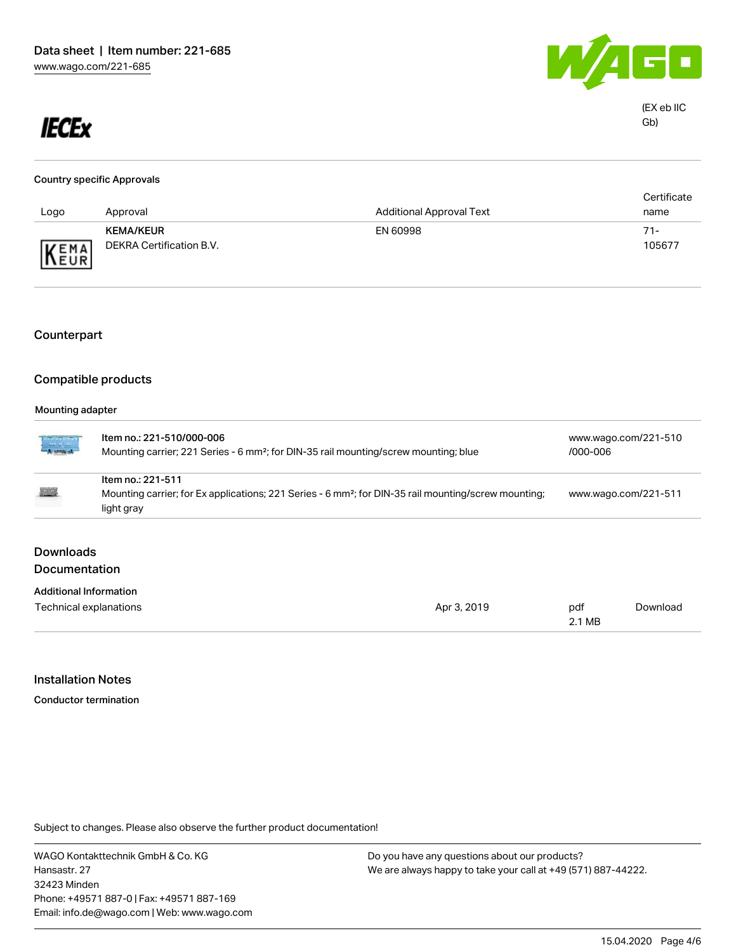

# **IECEx**

| <b>Country specific Approvals</b> |                          |                                 |             |  |
|-----------------------------------|--------------------------|---------------------------------|-------------|--|
|                                   |                          |                                 | Certificate |  |
| Logo                              | Approval                 | <b>Additional Approval Text</b> | name        |  |
|                                   | <b>KEMA/KEUR</b>         | EN 60998                        | $71 -$      |  |
| KEMA                              | DEKRA Certification B.V. |                                 | 105677      |  |

# Counterpart

## Compatible products

#### Mounting adapter

| martin<br>Tarihin             | Item no.: 221-510/000-006<br>Mounting carrier; 221 Series - 6 mm <sup>2</sup> ; for DIN-35 rail mounting/screw mounting; blue |             |                      | www.wago.com/221-510<br>/000-006 |  |
|-------------------------------|-------------------------------------------------------------------------------------------------------------------------------|-------------|----------------------|----------------------------------|--|
|                               | Item no.: 221-511                                                                                                             |             |                      |                                  |  |
| <b>All Color</b>              | Mounting carrier; for Ex applications; 221 Series - 6 mm <sup>2</sup> ; for DIN-35 rail mounting/screw mounting;              |             | www.wago.com/221-511 |                                  |  |
|                               | light gray                                                                                                                    |             |                      |                                  |  |
| <b>Downloads</b>              |                                                                                                                               |             |                      |                                  |  |
| <b>Documentation</b>          |                                                                                                                               |             |                      |                                  |  |
| <b>Additional Information</b> |                                                                                                                               |             |                      |                                  |  |
| Technical explanations        |                                                                                                                               | Apr 3, 2019 | pdf                  | Download                         |  |

### Installation Notes

Conductor termination

Subject to changes. Please also observe the further product documentation!

WAGO Kontakttechnik GmbH & Co. KG Hansastr. 27 32423 Minden Phone: +49571 887-0 | Fax: +49571 887-169 Email: info.de@wago.com | Web: www.wago.com

Do you have any questions about our products? We are always happy to take your call at +49 (571) 887-44222.

2.1 MB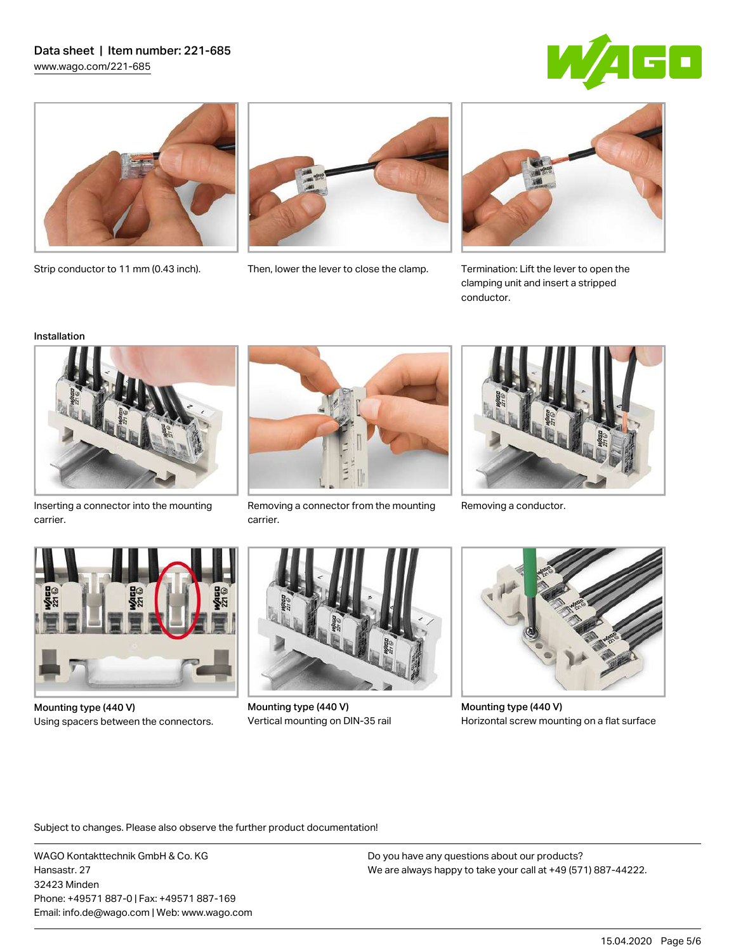## Data sheet | Item number: 221-685 [www.wago.com/221-685](http://www.wago.com/221-685)







Strip conductor to 11 mm (0.43 inch). Then, lower the lever to close the clamp.



Termination: Lift the lever to open the clamping unit and insert a stripped conductor.

#### Installation



Inserting a connector into the mounting carrier.



Removing a connector from the mounting Removing a conductor. carrier.





Mounting type (440 V) Using spacers between the connectors.



Mounting type (440 V) Vertical mounting on DIN-35 rail



Mounting type (440 V) Horizontal screw mounting on a flat surface

Subject to changes. Please also observe the further product documentation!

WAGO Kontakttechnik GmbH & Co. KG Hansastr. 27 32423 Minden Phone: +49571 887-0 | Fax: +49571 887-169 Email: info.de@wago.com | Web: www.wago.com